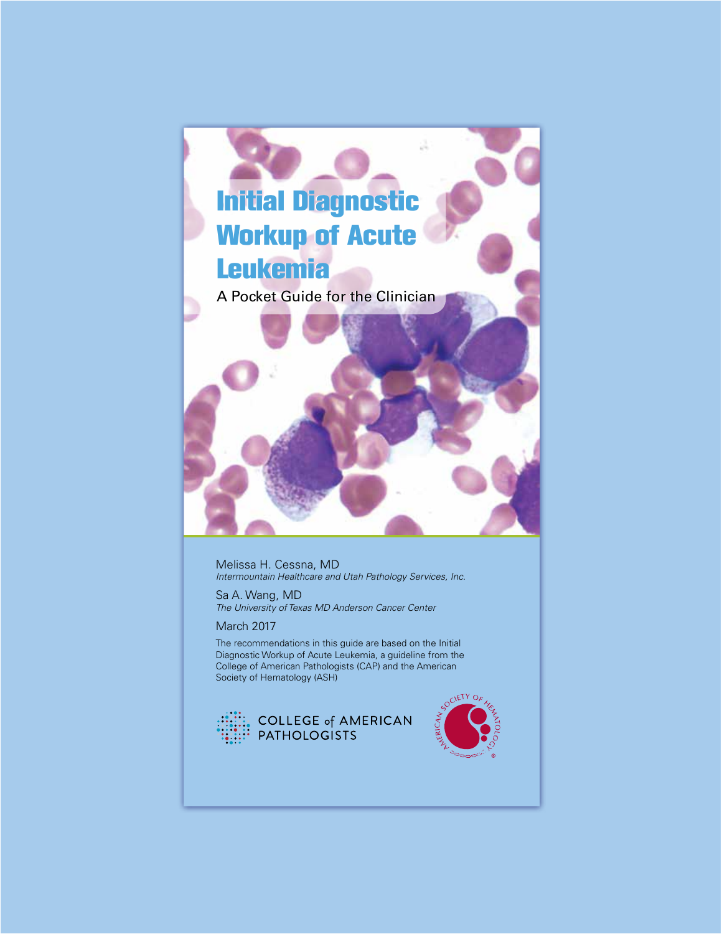

Melissa H. Cessna, MD *Intermountain Healthcare and Utah Pathology Services, Inc.*

Sa A. Wang, MD *The University of Texas MD Anderson Cancer Center*

March 2017

The recommendations in this guide are based on the Initial Diagnostic Workup of Acute Leukemia, a guideline from the College of American Pathologists (CAP) and the American Society of Hematology (ASH)



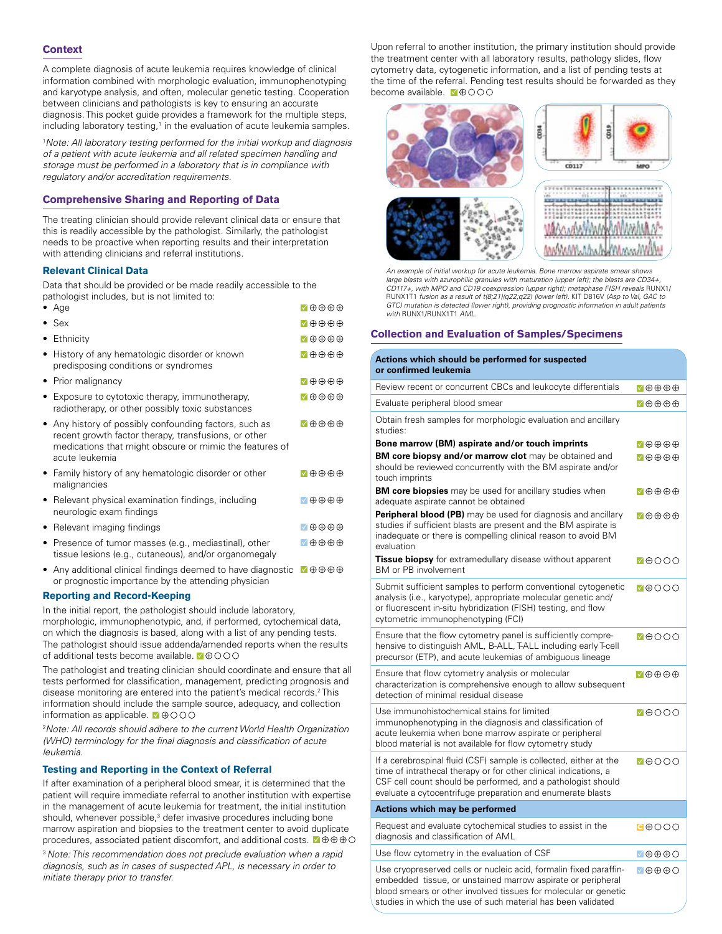# **Context**

A complete diagnosis of acute leukemia requires knowledge of clinical information combined with morphologic evaluation, immunophenotyping and karyotype analysis, and often, molecular genetic testing. Cooperation between clinicians and pathologists is key to ensuring an accurate diagnosis. This pocket guide provides a framework for the multiple steps, including laboratory testing,<sup>1</sup> in the evaluation of acute leukemia samples.

1 *Note: All laboratory testing performed for the initial workup and diagnosis of a patient with acute leukemia and all related specimen handling and storage must be performed in a laboratory that is in compliance with regulatory and/or accreditation requirements.*

# **Comprehensive Sharing and Reporting of Data**

The treating clinician should provide relevant clinical data or ensure that this is readily accessible by the pathologist. Similarly, the pathologist needs to be proactive when reporting results and their interpretation with attending clinicians and referral institutions.

# **Relevant Clinical Data**

Data that should be provided or be made readily accessible to the pathologist includes, but is not limited to:

|           | $\bullet$ Age                                                                                                                                                                             | √⊕⊕⊕⊕                                        |
|-----------|-------------------------------------------------------------------------------------------------------------------------------------------------------------------------------------------|----------------------------------------------|
|           | $\bullet$ Sex                                                                                                                                                                             | √⊕⊕⊕⊕                                        |
|           | Ethnicity                                                                                                                                                                                 | √⊕⊕⊕⊕                                        |
|           | • History of any hematologic disorder or known<br>predisposing conditions or syndromes                                                                                                    | $\blacktriangledown\oplus\oplus\oplus\oplus$ |
|           | Prior malignancy                                                                                                                                                                          | √⊕⊕⊕⊕                                        |
|           | Exposure to cytotoxic therapy, immunotherapy,<br>radiotherapy, or other possibly toxic substances                                                                                         | 7⊕⊕⊕⊕                                        |
|           | Any history of possibly confounding factors, such as<br>recent growth factor therapy, transfusions, or other<br>medications that might obscure or mimic the features of<br>acute leukemia | $\sqrt{1+1}$                                 |
|           | • Family history of any hematologic disorder or other<br>malignancies                                                                                                                     | $\blacksquare \oplus \oplus \oplus \oplus$   |
|           | Relevant physical examination findings, including<br>neurologic exam findings                                                                                                             | $\Diamond \oplus \oplus \oplus$              |
| $\bullet$ | Relevant imaging findings                                                                                                                                                                 | $\sqrt{1+1}$                                 |
|           | • Presence of tumor masses (e.g., mediastinal), other<br>tissue lesions (e.g., cutaneous), and/or organomegaly                                                                            | √⊕⊕⊕⊕                                        |
|           |                                                                                                                                                                                           |                                              |

• Any additional clinical findings deemed to have diagnostic  $\blacksquare \oplus \oplus \oplus \oplus$ or prognostic importance by the attending physician

# **Reporting and Record-Keeping**

In the initial report, the pathologist should include laboratory, morphologic, immunophenotypic, and, if performed, cytochemical data, on which the diagnosis is based, along with a list of any pending tests. The pathologist should issue addenda/amended reports when the results of additional tests become available.  $\blacksquare$  $\oplus$   $\odot$   $\odot$ 

The pathologist and treating clinician should coordinate and ensure that all tests performed for classification, management, predicting prognosis and disease monitoring are entered into the patient's medical records.<sup>2</sup> This information should include the sample source, adequacy, and collection information as applicable.  $\blacksquare$  $\oplus$  $\odot$  $\odot$ 

2 *Note: All records should adhere to the current World Health Organization (WHO) terminology for the final diagnosis and classification of acute leukemia.* 

# **Testing and Reporting in the Context of Referral**

If after examination of a peripheral blood smear, it is determined that the patient will require immediate referral to another institution with expertise in the management of acute leukemia for treatment, the initial institution should, whenever possible,<sup>3</sup> defer invasive procedures including bone marrow aspiration and biopsies to the treatment center to avoid duplicate procedures, associated patient discomfort, and additional costs.

<sup>3</sup>*Note: This recommendation does not preclude evaluation when a rapid diagnosis, such as in cases of suspected APL, is necessary in order to initiate therapy prior to transfer.*

Upon referral to another institution, the primary institution should provide the treatment center with all laboratory results, pathology slides, flow cytometry data, cytogenetic information, and a list of pending tests at the time of the referral. Pending test results should be forwarded as they become available. <br>  $\blacksquare$   $\oplus$   $\odot$   $\odot$   $\odot$ 



*An example of initial workup for acute leukemia. Bone marrow aspirate smear shows large blasts with azurophilic granules with maturation (upper left); the blasts are CD34+, CD117+, with MPO and CD19 coexpression (upper right); metaphase FISH reveals* RUNX1*)*<br>RUNX1T1 *fusion as a result of t(8;21)(q22;q22) (lower left). KIT D816V <i>(Asp to Val, GAC to GTC) mutation is detected (lower right), providing prognostic information in adult patients with* RUNX1/RUNX1T1 *AML.*

# **Collection and Evaluation of Samples/Specimens**

| Actions which should be performed for suspected<br>or confirmed leukemia                                                                                                                                                                                            |                                            |
|---------------------------------------------------------------------------------------------------------------------------------------------------------------------------------------------------------------------------------------------------------------------|--------------------------------------------|
| Review recent or concurrent CBCs and leukocyte differentials                                                                                                                                                                                                        | $\sqrt{9999}$                              |
| Evaluate peripheral blood smear                                                                                                                                                                                                                                     | $\nabla \oplus \oplus \oplus \oplus$       |
| Obtain fresh samples for morphologic evaluation and ancillary<br>studies:                                                                                                                                                                                           |                                            |
| Bone marrow (BM) aspirate and/or touch imprints                                                                                                                                                                                                                     | ひの⊕の⊙                                      |
| <b>BM core biopsy and/or marrow clot</b> may be obtained and<br>should be reviewed concurrently with the BM aspirate and/or<br>touch imprints                                                                                                                       | $\nabla \oplus \oplus \oplus \oplus$       |
| <b>BM core biopsies</b> may be used for ancillary studies when<br>adequate aspirate cannot be obtained                                                                                                                                                              | $\blacksquare \oplus \oplus \oplus \oplus$ |
| <b>Peripheral blood (PB)</b> may be used for diagnosis and ancillary<br>studies if sufficient blasts are present and the BM aspirate is<br>inadequate or there is compelling clinical reason to avoid BM<br>evaluation                                              | 7⊕⊕⊕⊕                                      |
| Tissue biopsy for extramedullary disease without apparent<br><b>BM</b> or PB involvement                                                                                                                                                                            | MAOOO                                      |
| Submit sufficient samples to perform conventional cytogenetic<br>analysis (i.e., karyotype), appropriate molecular genetic and/<br>or fluorescent in-situ hybridization (FISH) testing, and flow<br>cytometric immunophenotyping (FCI)                              | <b>M</b> OOO                               |
| Ensure that the flow cytometry panel is sufficiently compre-<br>hensive to distinguish AML, B-ALL, T-ALL including early T-cell<br>precursor (ETP), and acute leukemias of ambiguous lineage                                                                        | MAOOO                                      |
| Ensure that flow cytometry analysis or molecular<br>characterization is comprehensive enough to allow subsequent<br>detection of minimal residual disease                                                                                                           | $\nabla \oplus \oplus \oplus \oplus$       |
| Use immunohistochemical stains for limited<br>immunophenotyping in the diagnosis and classification of<br>acute leukemia when bone marrow aspirate or peripheral<br>blood material is not available for flow cytometry study                                        | 70000                                      |
| If a cerebrospinal fluid (CSF) sample is collected, either at the<br>time of intrathecal therapy or for other clinical indications, a<br>CSF cell count should be performed, and a pathologist should<br>evaluate a cytocentrifuge preparation and enumerate blasts | <b>VOOOO</b>                               |
| <b>Actions which may be performed</b>                                                                                                                                                                                                                               |                                            |
| Request and evaluate cytochemical studies to assist in the<br>diagnosis and classification of AML                                                                                                                                                                   | 0000                                       |
| Use flow cytometry in the evaluation of CSF                                                                                                                                                                                                                         | √⊕⊕⊕⊝                                      |
| Use cryopreserved cells or nucleic acid, formalin fixed paraffin-<br>embedded tissue, or unstained marrow aspirate or peripheral<br>blood smears or other involved tissues for molecular or genetic<br>studies in which the use of such material has been validated | $\sqrt{\oplus \oplus \oplus \oplus}$       |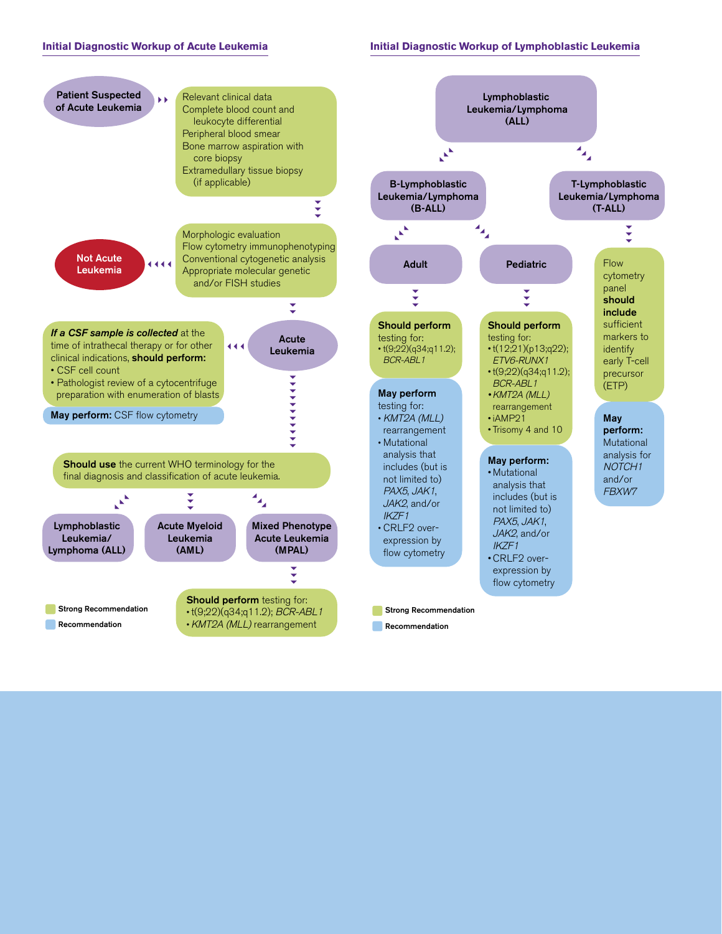# **Initial Diagnostic Workup of Acute Leukemia**

#### **Initial Diagnostic Workup of Lymphoblastic Leukemia**